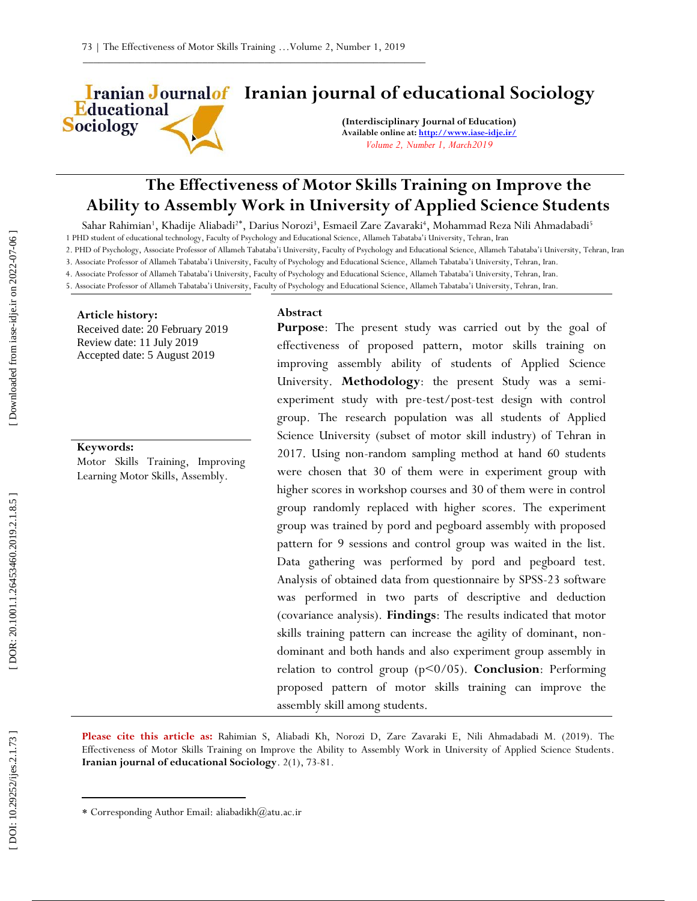**Iranian Journalof Iranian journal of educational Sociology** Educational

**(Interdisciplinary Journal of Education) Available online at[: http://www.iase](http://www.iase-idje.ir/) -idje.ir/** *Volume 2, Number 1, March2019*

# **The Effectiveness of Motor Skills Training on Improve the Ability to Assembly Work in University of Applied Science Students**

Sahar Rahimian<sup>1</sup>, Khadije Aliabadi<sup>2\*</sup>, Darius Norozi<sup>3</sup>, Esmaeil Zare Zavaraki<sup>4</sup>, Mohammad Reza Nili Ahmadabadi<sup>5</sup> 1 PHD student of educational technology, Faculty of Psychology and Educational Science, Allameh Tabataba'i University, Tehran, Iran

2. PHD of Psychology, Associate Professor of Allameh Tabataba'i University, Faculty of Psychology and Educational Science, Allameh Tabataba'i University, Tehran, Iran

3. Associate Professor of Allameh Tabataba'i University, Faculty of Psychology and Educational Science, Allameh Tabataba'i University, Tehran, Iran. 4. Associate Professor of Allameh Tabataba'i University, Faculty of Psychology and Educational Science, Allameh Tabataba'i University, Tehran, Iran.

5. Associate Professor of Allameh Tabataba'i University, Faculty of Psychology and Educational Science, Allameh Tabataba'i University, Tehran, Iran.

## **Article history:**

**Sociology** 

Received date: 20 February 2019 Review date: 11 July 2019 Accepted date: 5 August 2019

# **Keywords:**

Motor Skills Training, Improving Learning Motor Skills, Assembly.

## **Abstract**

**Purpose**: The present study was carried out by the goal of effectiveness of proposed pattern, motor skills training on improving assembly ability of students of Applied Science University. **Methodology**: the present Study was a semi experiment study with pre -test/post -test design with control group. The research population was all students of Applied Science University (subset of motor skill industry) of Tehran in 2017. Using non -random sampling method at hand 60 students were chosen that 30 of them were in experiment group with higher scores in workshop courses and 30 of them were in control group randomly replaced with higher scores. The experiment group was trained by pord and pegboard assembly with proposed pattern for 9 sessions and control group was waited in the list. Data gathering was performed by pord and pegboard test. Analysis of obtained data from questionnaire by SPSS -23 software was performed in two parts of descriptive and deduction (covariance analysis). **Findings**: The results indicated that motor skills training pattern can increase the agility of dominant, non dominant and both hands and also experiment group assembly in relation to control group (p<0/05). **Conclusion**: Performing proposed pattern of motor skills training can improve the assembly skill among students.

Please cite this article as: Rahimian S, Aliabadi Kh, Norozi D, Zare Zavaraki E, Nili Ahmadabadi M. (2019). The Effectiveness of Motor Skills Training on Improve the Ability to Assembly Work in University of Applied Science Students. **Iranian journal of educational Sociology**. 2 ( 1), 73 -81.

 $\overline{\phantom{a}}$ 

Corresponding Author Email: aliabadikh@atu.ac.ir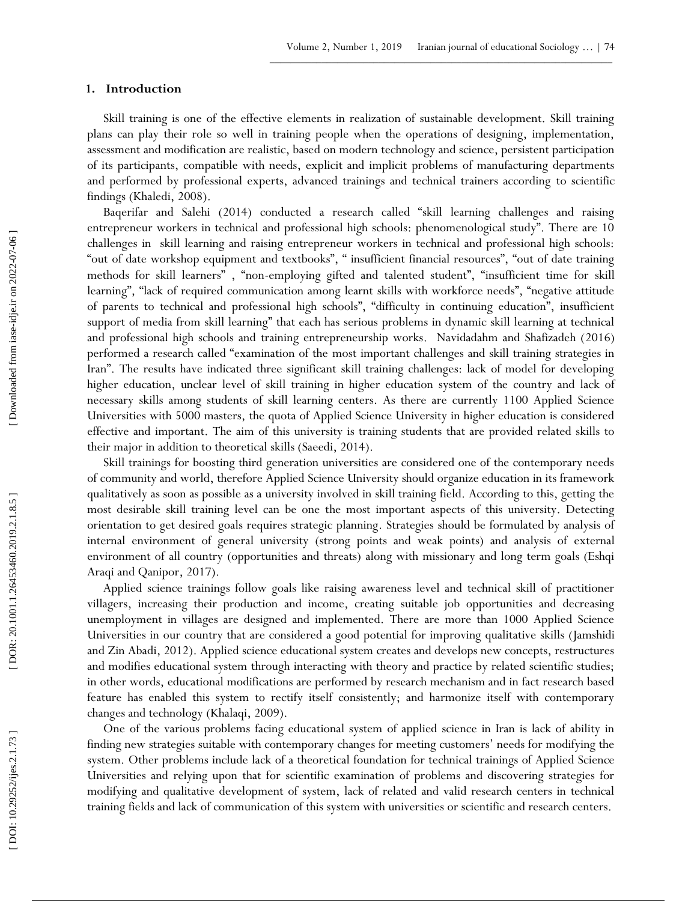# **1 . Introduction**

Skill training is one of the effective elements in realization of sustainable development. Skill training plans can play their role so well in training people when the operations of designing, implementation, assessment and modification are realistic, based on modern technology and science, persistent participation of its participants, compatible with needs, explicit and implicit problems of manufacturing departments and performed by professional experts, advanced trainings and technical trainers according to scientific findings (Khaledi, 2008).

Baqerifar and Salehi (2014) conducted a research called "skill learning challenges and raising entrepreneur workers in technical and professional high schools: phenomenological study". There are 10 challenges in skill learning and raising entrepreneur workers in technical and professional high schools: "out of date workshop equipment and textbooks", " insufficient financial resources", "out of date training methods for skill learners" , "non -employing gifted and talented student", "insufficient time for skill learning", "lack of required communication among learnt skills with workforce needs", "negative attitude of parents to technical and professional high schools", "difficulty in continuing education", insufficient support of media from skill learning" that each has serious problems in dynamic skill learning at technical and professional high schools and training entrepreneurship works. Navidadahm and Shafizadeh (2016) performed a research called "examination of the most important challenges and skill training strategies in Iran". The results have indicated three significant skill training challenges: lack of model for developing higher education, unclear level of skill training in higher education system of the country and lack of necessary skills among students of skill learning centers. As there are currently 1100 Applied Science Universities with 5000 masters, the quota of Applied Science University in higher education is considered effective and important. The aim of this university is training students that are provided related skills to their major in addition to theoretical skills (Saeedi, 2014).

Skill trainings for boosting third generation universities are considered one of the contemporary needs of community and world, therefore Applied Science University should organize education in its framework qualitatively as soon as possible as a university involved in skill training field. According to this, getting the most desirable skill training level can be one the most important aspects of this university. Detecting orientation to get desired goals requires strategic planning. Strategies should be formulated by analysis of internal environment of general university (strong points and weak points) and analysis of external environment of all country (opportunities and threats) along with missionary and long term goals (Eshqi Araqi and Qanipor, 2017).

Applied science trainings follow goals like raising awareness level and technical skill of practitioner villagers, increasing their production and income, creating suitable job opportunities and decreasing unemployment in villages are designed and implemented. There are more than 1000 Applied Science Universities in our country that are considered a good potential for improving qualitative skills (Jamshidi and Zin Abadi, 2012). Applied science educational system creates and develops new concepts, restructures and modifies educational system through interacting with theory and practice by related scientific studies; in other words, educational modifications are performed by research mechanism and in fact research based feature has enabled this system to rectify itself consistently; and harmonize itself with contemporary changes and technology (Khalaqi, 2009).

One of the various problems facing educational system of applied science in Iran is lack of ability in finding new strategies suitable with contemporary changes for meeting customers' needs for modifying the system. Other problems include lack of a theoretical foundation for technical trainings of Applied Science Universities and relying upon that for scientific examination of problems and discovering strategies for modifying and qualitative development of system, lack of related and valid research centers in technical training fields and lack of communication of this system with universities or scientific and research centers.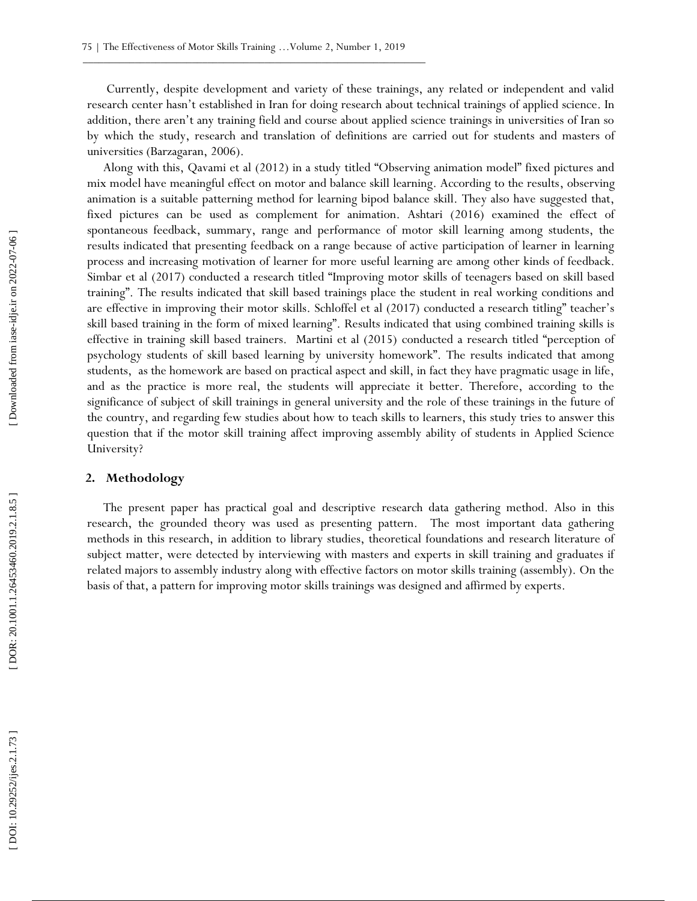Currently, despite development and variety of these trainings, any related or independent and valid research center hasn't established in Iran for doing research about technical trainings of applied science. In addition, there aren't any training field and course about applied science trainings in universities of Iran so by which the study, research and translation of definitions are carried out for students and masters of universities (Barzagaran, 2006).

Along with this, Qavami et al (2012) in a study titled "Observing animation model" fixed pictures and mix model have meaningful effect on motor and balance skill learning. According to the results, observing animation is a suitable patterning method for learning bipod balance skill. They also have suggested that, fixed pictures can be used as complement for animation. Ashtari (2016) examined the effect of spontaneous feedback, summary, range and performance of motor skill learning among students, the results indicated that presenting feedback on a range because of active participation of learner in learning process and increasing motivation of learner for more useful learning are among other kinds of feedback. Simbar et al (2017) conducted a research titled "Improving motor skills of teenagers based on skill based training". The results indicated that skill based trainings place the student in real working conditions and are effective in improving their motor skills. Schloffel et al (2017) conducted a research titling" teacher's skill based training in the form of mixed learning". Results indicated that using combined training skills is effective in training skill based trainers. Martini et al (2015) conducted a research titled "perception of psychology students of skill based learning by university homework". The results indicated that among students, as the homework are based on practical aspect and skill, in fact they have pragmatic usage in life, and as the practice is more real, the students will appreciate it better. Therefore, according to the significance of subject of skill trainings in general university and the role of these trainings in the future of the country, and regarding few studies about how to teach skills to learners, this study tries to answer this question that if the motor skill training affect improving assembly ability of students in Applied Science University? become method that pysoming motivalent in the internal pattern for internal pattern for internal pattern for internal pattern for internal pattern for internal pattern for internal pattern for internal pattern for internal

## **2. Methodology**

The present paper has practical goal and descriptive research data gathering method. Also in this research, the grounded theory was used as presenting pattern. The most important data gathering methods in this research, in addition to library studies, theoretical foundations and research literature of subject matter, were detected by interviewing with masters and experts in skill training and graduates if related majors to assembly industry along with effective factors on motor skills training (assembly). On the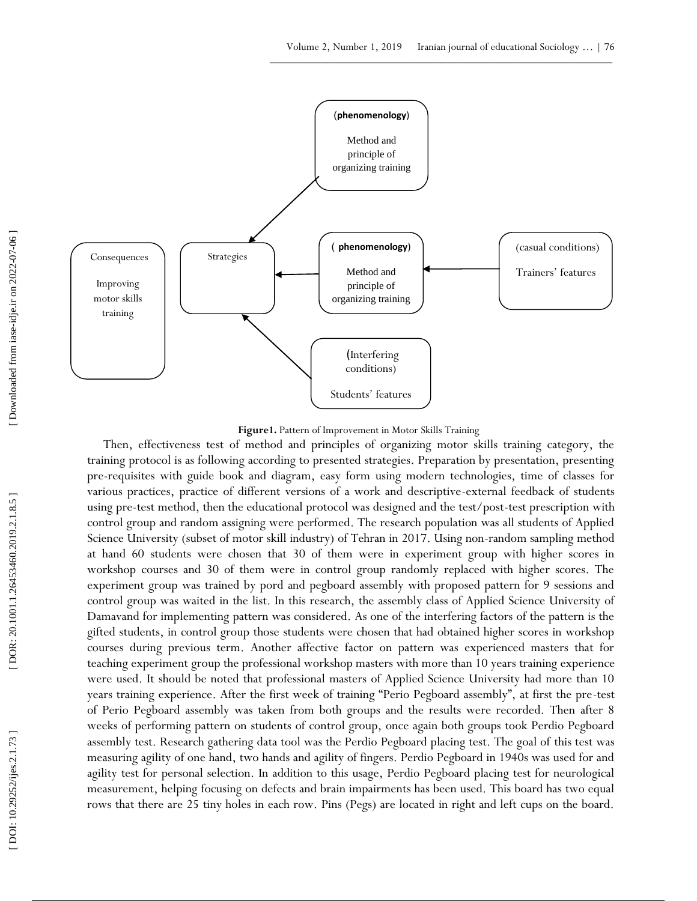

**Figure1.** Pattern of Improvement in Motor Skills Training

Then, effectiveness test of method and principles of organizing motor skills training category, the training protocol is as following according to presented strategies. Preparation by presentation, presenting pre -requisites with guide book and diagram, easy form using modern technologies, time of classes for various practices, practice of different versions of a work and descriptive -external feedback of students using pre -test method, then the educational protocol was designed and the test/post -test prescription with control group and random assigning were performed. The research population was all students of Applied Science University (subset of motor skill industry) of Tehran in 2017. Using non -random sampling method at hand 60 students were chosen that 30 of them were in experiment group with higher scores in workshop courses and 30 of them were in control group randomly replaced with higher scores. The experiment group was trained by pord and pegboard assembly with proposed pattern for 9 sessions and control group was waited in the list. In this research, the assembly class of Applied Science University of Damavand for implementing pattern was considered. As one of the interfering factors of the pattern is the gifted students, in control group those students were chosen that had obtained higher scores in workshop courses during previous term. Another affective factor on pattern was experienced masters that for teaching experiment group the professional workshop masters with more than 10 years training experience were used. It should be noted that professional masters of Applied Science University had more than 10 years training experience. After the first week of training "Perio Pegboard assembly", at first the pre -test of Perio Pegboard assembly was taken from both groups and the results were recorded. Then after 8 weeks of performing pattern on students of control group, once again both groups took Perdio Pegboard assembly test. Research gathering data tool was the Perdio Pegboard placing test. The goal of this test was measuring agility of one hand, two hands and agility of fingers. Perdio Pegboard in 1940s was used for and agility test for personal selection. In addition to this usage, Perdio Pegboard placing test for neurological measurement, helping focusing on defects and brain impairments has been used. This board has two equal **Examples of the complete state of the complete state of the complete state of the complete state of the complete state of the complete state of the complete state of the complete state of the complete state of the complet**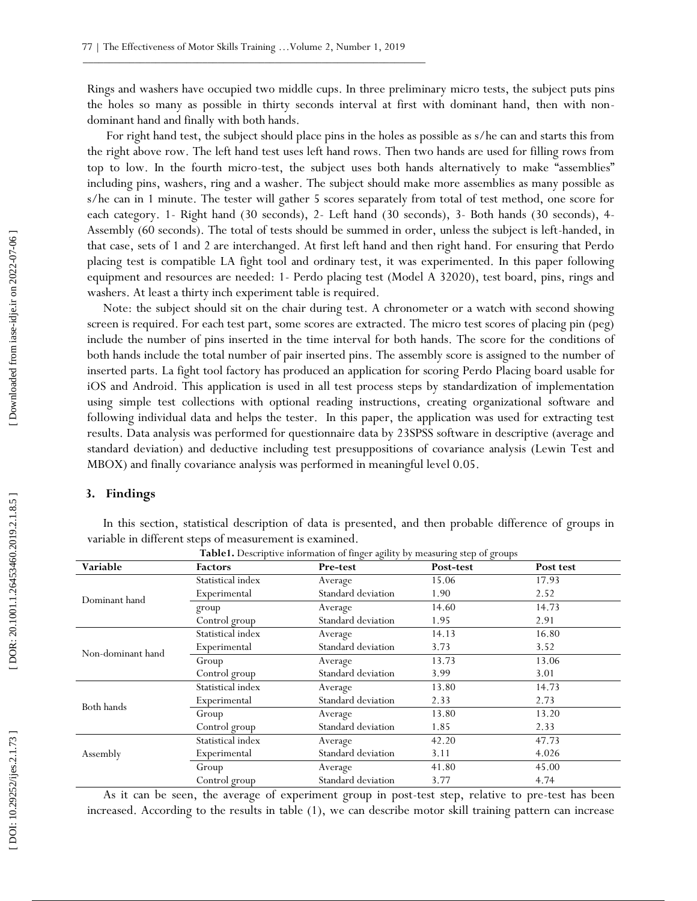Rings and washers have occupied two middle cups. In three preliminary micro tests, the subject puts pins the holes so many as possible in thirty seconds interval at first with dominant hand, then with non dominant hand and finally with both hands.

For right hand test, the subject should place pins in the holes as possible as s/he can and starts this from the right above row. The left hand test uses left hand rows. Then two hands are used for filling rows from top to low. In the fourth micro -test, the subject uses both hands alternatively to make "assemblies" including pins, washers, ring and a washer. The subject should make more assemblies as many possible as s/he can in 1 minute. The tester will gather 5 scores separately from total of test method, one score for each category. 1- Right hand (30 seconds), 2- Left hand (30 seconds), 3- Both hands (30 seconds), 4-Assembly (60 seconds). The total of tests should be summed in order, unless the subject is left -handed, in that case, sets of 1 and 2 are interchanged. At first left hand and then right hand. For ensuring that Perdo placing test is compatible LA fight tool and ordinary test, it was experimented. In this paper following equipment and resources are needed: 1 - Perdo placing test (Model A 32020), test board, pins, rings and washers. At least a thirty inch experiment table is required.

Note: the subject should sit on the chair during test. A chronometer or a watch with second showing screen is required. For each test part, some scores are extracted. The micro test scores of placing pin (peg) include the number of pins inserted in the time interval for both hands. The score for the conditions of both hands include the total number of pair inserted pins. The assembly score is assigned to the number of inserted parts. La fight tool factory has produced an application for scoring Perdo Placing board usable for iOS and Android. This application is used in all test process steps by standardization of implementation using simple test collections with optional reading instructions, creating organizational software and following individual data and helps the tester. In this paper, the application was used for extracting test results. Data analysis was performed for questionnaire data by 23SPSS software in descriptive (average and standard deviation) and deductive including test presuppositions of covariance analysis (Lewin Test and MBOX) and finally covariance analysis was performed in meaningful level 0.05.

## **3. Findings**

In this section, statistical description of data is presented, and then probable difference of groups in variable in different steps of measurement is examined.

| Variable          | <b>Factors</b>    | Pre-test           | Post-test | Post test |  |  |
|-------------------|-------------------|--------------------|-----------|-----------|--|--|
|                   | Statistical index | Average            | 15.06     | 17.93     |  |  |
| Dominant hand     | Experimental      | Standard deviation | 1.90      | 2.52      |  |  |
|                   | group             | Average            | 14.60     | 14.73     |  |  |
|                   | Control group     | Standard deviation | 1.95      | 2.91      |  |  |
|                   | Statistical index | Average            | 14.13     | 16.80     |  |  |
| Non-dominant hand | Experimental      | Standard deviation | 3.73      | 3.52      |  |  |
|                   | Group             | Average            | 13.73     | 13.06     |  |  |
|                   | Control group     | Standard deviation | 3.99      | 3.01      |  |  |
|                   | Statistical index | Average            | 13.80     | 14.73     |  |  |
| Both hands        | Experimental      | Standard deviation | 2.33      | 2.73      |  |  |
|                   | Group             | Average            | 13.80     | 13.20     |  |  |
|                   | Control group     | Standard deviation | 1.85      | 2.33      |  |  |
|                   | Statistical index | Average            | 42.20     | 47.73     |  |  |
| Assembly          | Experimental      | Standard deviation | 3.11      | 4.026     |  |  |
|                   | Group             | Average            | 41.80     | 45.00     |  |  |
|                   | Control group     | Standard deviation | 3.77      | 4.74      |  |  |

**Table 1.** Descriptive information of finger agility by measuring step of groups

As it can be seen, the average of experiment group in post -test step, relative to pre -test has been increased. According to the results in table (1), we can describe motor skill training pattern can increase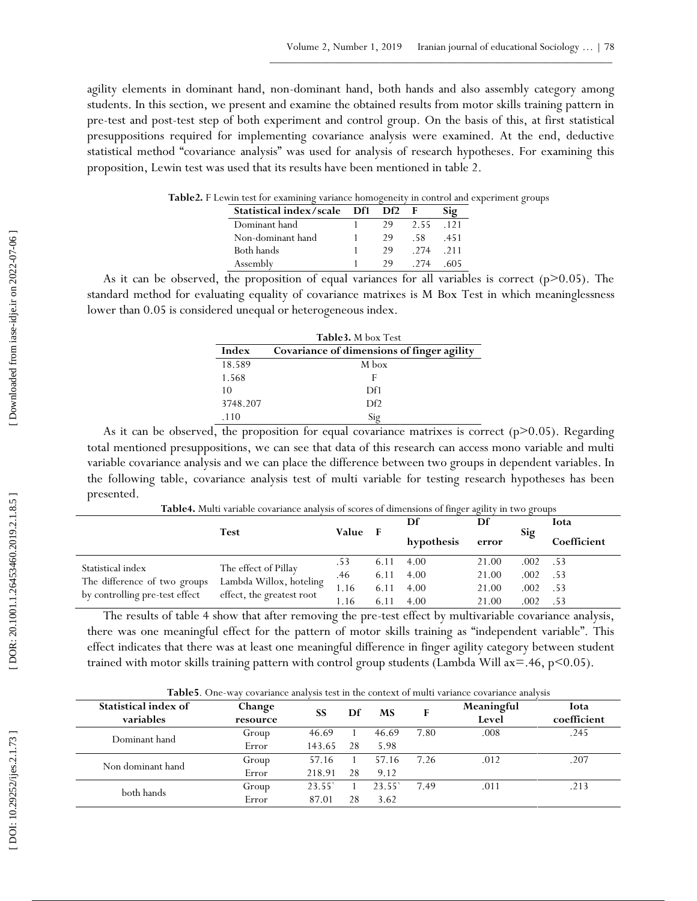agility elements in dominant hand, non -dominant hand, both hands and also assembly category among students. In this section, we present and examine the obtained results from motor skills training pattern in pre -test and post -test step of both experiment and control group. On the basis of this, at first statistical presuppositions required for implementing covariance analysis were examined. At the end, deductive statistical method "covariance analysis" was used for analysis of research hypotheses. For examining this proposition, Lewin test was used that its results have been mentioned in table 2.

| $-0.11$ $-0.000$ $-0.01$ $-0.000$ |  |  |                 |      |        |  |  |  |
|-----------------------------------|--|--|-----------------|------|--------|--|--|--|
| Statistical index/scale Df1       |  |  | Df <sub>2</sub> |      | Sig    |  |  |  |
| Dominant hand                     |  |  | 29              | 2.55 | $-121$ |  |  |  |
| Non-dominant hand                 |  |  | 29              | -58  | .451   |  |  |  |
| Both hands                        |  |  | 29              | -274 | -211   |  |  |  |
| Assembly                          |  |  | 29              | 274  | 605    |  |  |  |

**Table 2 .** F Lewin test for examining variance homogeneity in control and experiment groups

As it can be observed, the proposition of equal variances for all variables is correct ( $p$  $>$ 0.05). The standard method for evaluating equality of covariance matrixes is M Box Test in which meaninglessness lower than 0.05 is considered unequal or heterogeneous index.

| <b>Table3.</b> M box Test |                                            |  |  |  |  |  |
|---------------------------|--------------------------------------------|--|--|--|--|--|
| Index                     | Covariance of dimensions of finger agility |  |  |  |  |  |
| 18.589                    | M box                                      |  |  |  |  |  |
| 1.568                     | F                                          |  |  |  |  |  |
| 10                        | Df1                                        |  |  |  |  |  |
| 3748.207                  | DF <sup>2</sup>                            |  |  |  |  |  |
| .110                      | $Si\sigma$                                 |  |  |  |  |  |

As it can be observed, the proposition for equal covariance matrixes is correct  $(p>0.05)$ . Regarding total mentioned presuppositions, we can see that data of this research can access mono variable and multi variable covariance analysis and we can place the difference between two groups in dependent variables. In the following table, covariance analysis test of multi variable for testing research hypotheses has been presented.

|                                | <b>Test</b>                                          |       |      | Df         | Df    |      | Iota        |
|--------------------------------|------------------------------------------------------|-------|------|------------|-------|------|-------------|
|                                |                                                      | Value | - F  | hypothesis | error | Sig  | Coefficient |
| Statistical index              | The effect of Pillay                                 | .53   | 6.11 | 4.00       | 21.00 | .002 | .53         |
|                                | Lambda Willox, hoteling<br>effect, the greatest root | .46   | 6.11 | 4.00       | 21.00 | .002 | .53         |
| The difference of two groups   |                                                      | .16   | 6.11 | 4.00       | 21.00 | .002 | .53         |
| by controlling pre-test effect |                                                      | l.16  | 6.11 | 4.00       | 21.00 | .002 | .53         |

**Table 4.** Multi variable covariance analysis of scores of dimensions of finger agility in two groups

The results of table 4 show that after removing the pre -test effect by multivariable covariance analysis, there was one meaningful effect for the pattern of motor skills training as "independent variable". This effect indicates that there was at least one meaningful difference in finger agility category between student trained with motor skills training pattern with control group students (Lambda Will  $ax = .46$ ,  $p < 0.05$ ).

| <b>Table5.</b> One-way covariance analysis test in the context of multi variance covariance analysis |  |  |  |  |
|------------------------------------------------------------------------------------------------------|--|--|--|--|
|------------------------------------------------------------------------------------------------------|--|--|--|--|

| Statistical index of<br>variables | Change<br>resource | <b>SS</b> | Df | <b>MS</b> | F    | Meaningful<br>Level | Iota<br>coefficient |
|-----------------------------------|--------------------|-----------|----|-----------|------|---------------------|---------------------|
| Dominant hand                     | Group              | 46.69     |    | 46.69     | 7.80 | .008                | .245                |
|                                   | Error              | 143.65    | 28 | 5.98      |      |                     |                     |
| Non dominant hand                 | Group              | 57.16     |    | 57.16     | 7.26 | .012                | .207                |
|                                   | Error              | 218.91    | 28 | 9.12      |      |                     |                     |
| both hands                        | Group              | 23.55'    |    | 23.55     | 7.49 | .011                | .213                |
|                                   | Error              | 87.01     | 28 | 3.62      |      |                     |                     |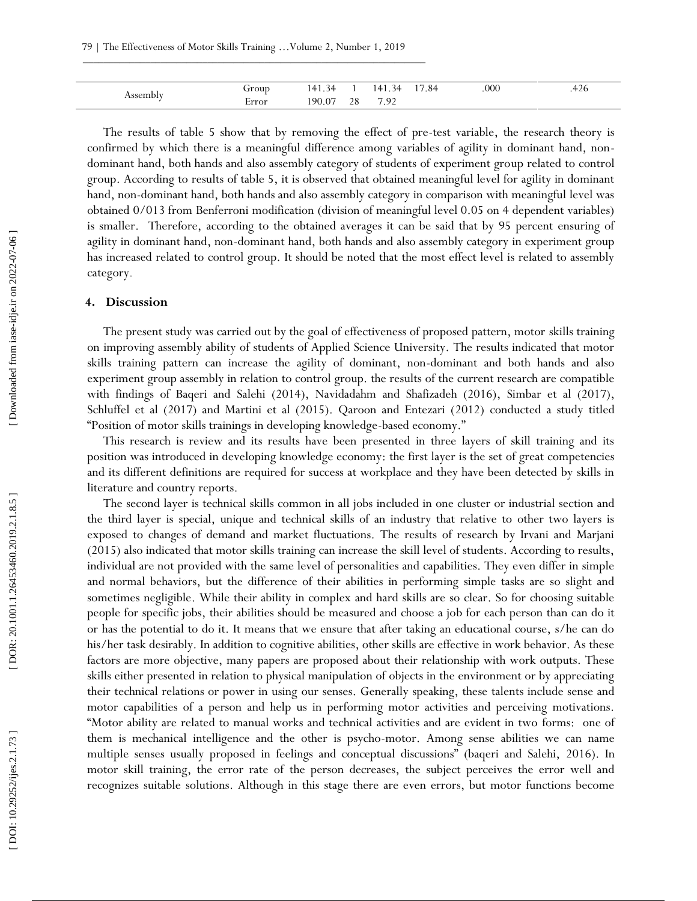| $\alpha$ $\alpha$ and | rrour      | $\overline{1}$<br>$\overline{4}$<br>≺∠ |          | $\overline{a}$<br>-34<br>. | $\overline{\phantom{0}}$<br>.84 | 000 | 420 |
|-----------------------|------------|----------------------------------------|----------|----------------------------|---------------------------------|-----|-----|
|                       | -<br>Error | 190.07                                 | າວ<br>20 | 7.90<br>.                  |                                 |     |     |

The results of table 5 show that by removing the effect of pre -test variable, the research theory is confirmed by which there is a meaningful difference among variables of agility in dominant hand, non dominant hand, both hands and also assembly category of students of experiment group related to control group. According to results of table 5, it is observed that obtained meaningful level for agility in dominant hand, non -dominant hand, both hands and also assembly category in comparison with meaningful level was obtained 0/013 from Benferroni modification (division of meaningful level 0.05 on 4 dependent variables) is smaller. Therefore, according to the obtained averages it can be said that by 95 percent ensuring of agility in dominant hand, non -dominant hand, both hands and also assembly category in experiment group has increased related to control group. It should be noted that the most effect level is related to assembly category.

### **4. Discussion**

The present study was carried out by the goal of effectiveness of proposed pattern, motor skills training on improving assembly ability of students of Applied Science University. The results indicated that motor skills training pattern can increase the agility of dominant, non -dominant and both hands and also experiment group assembly in relation to control group. the results of the current research are compatible with findings of Baqeri and Salehi (2014), Navidadahm and Shafizadeh (2016), Simbar et al (2017), Schluffel et al (2017) and Martini et al (2015). Qaroon and Entezari (2012) conducted a study titled "Position of motor skills trainings in developing knowledge -based economy."

This research is review and its results have been presented in three layers of skill training and its position was introduced in developing knowledge economy: the first layer is the set of great competencies and its different definitions are required for success at workplace and they have been detected by skills in literature and country reports.

The second layer is technical skills common in all jobs included in one cluster or industrial section and the third layer is special, unique and technical skills of an industry that relative to other two layers is exposed to changes of demand and market fluctuations. The results of research by Irvani and Marjani (2015) also indicated that motor skills training can increase the skill level of students. According to results, individual are not provided with the same level of personalities and capabilities. They even differ in simple and normal behaviors, but the difference of their abilities in performing simple tasks are so slight and sometimes negligible. While their ability in complex and hard skills are so clear. So for choosing suitable people for specific jobs, their abilities should be measured and choose a job for each person than can do it or has the potential to do it. It means that we ensure that after taking an educational course, s/he can do his/her task desirably. In addition to cognitive abilities, other skills are effective in work behavior. As these factors are more objective, many papers are proposed about their relationship with work outputs. These skills either presented in relation to physical manipulation of objects in the environment or by appreciating their technical relations or power in using our senses. Generally speaking, these talents include sense and motor capabilities of a person and help us in performing motor activities and perceiving motivations. "Motor ability are related to manual works and technical activities and are evident in two forms: one of them is mechanical intelligence and the other is psycho -motor. Among sense abilities we can name multiple senses usually proposed in feelings and conceptual discussions" (baqeri and Salehi, 2016). In motor skill training, the error rate of the person decreases, the subject perceives the error well and recognizes suitable solutions. Although in this stage there are even errors, but motor functions become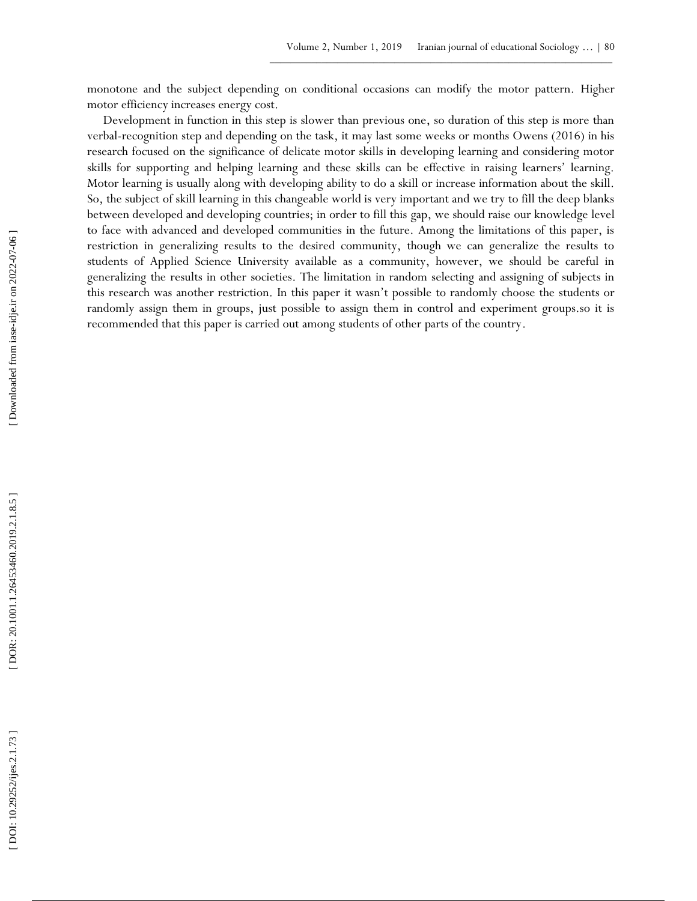monotone and the subject depending on conditional occasions can modify the motor pattern. Higher motor efficiency increases energy cost.

Development in function in this step is slower than previous one, so duration of this step is more than verbal -recognition step and depending on the task, it may last some weeks or months Owens (2016) in his research focused on the significance of delicate motor skills in developing learning and considering motor skills for supporting and helping learning and these skills can be effective in raising learners' learning. Motor learning is usually along with developing ability to do a skill or increase information about the skill. So, the subject of skill learning in this changeable world is very important and we try to fill the deep blanks between developed and developing countries; in order to fill this gap, we should raise our knowledge level to face with advanced and developed communities in the future. Among the limitations of this paper, is restriction in generalizing results to the desired community, though we can generalize the results to students of Applied Science University available as a community, however, we should be careful in generalizing the results in other societies. The limitation in random selecting and assigning of subjects in this research was another restriction. In this paper it wasn't possible to randomly choose the students or randomly assign them in groups, just possible to assign them in control and experiment groups.so it is to take with attenuous and the veloped communitey, the country of the counter of the country of the country. [ Doing the space of the country of the country of the country of the country. [ DOISE Students of Applied Stude